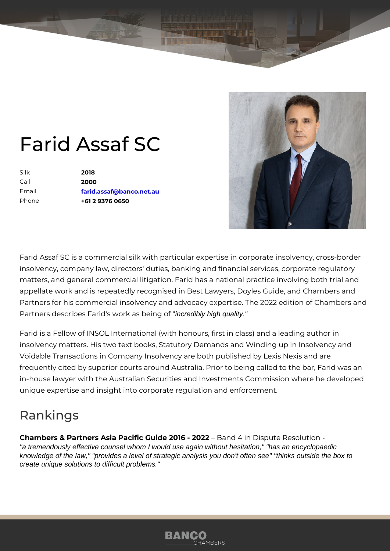## Farid Assaf SC

| Silk    | 2018                     |
|---------|--------------------------|
| $C$ all | 2000                     |
| Email   | farid.assaf@banco.net.au |
| Phone   | +61 2 9376 0650          |

Farid Assaf SC is a commercial silk with particular expertise in corporate insolvency, company law, directors' duties, banking and financial service matters, and general commercial litigation. Farid has a national practice appellate work and is repeatedly recognised in Best Lawyers, Doyles Gui Partners for his commercial insolvency and advocacy expertise. The 2022 Partners describes Farid's work credibly being quality."

Farid is a Fellow of INSOL International (with honours, first in class) and insolvency matters. His two text books, Statutory Demands and Winding u Voidable Transactions in Company Insolvency are both published by Lexis frequently cited by superior courts around Australia. Prior to being calle in-house lawyer with the Australian Securities and Investments Commissi unique expertise and insight into corporate regulation and enforcement.

## Rankings

Chambers & Partners Asia Pacific Guide B 20 t64 - i 20 D 2 i 2 pute Resolution "a tremendously effective counsel whom I would use again without hesitation," "has an encyclopaedic knowledge of the law," "provides a level of strategic analysis you don't often see" "thinks outside the box to create unique solutions to difficult problems."